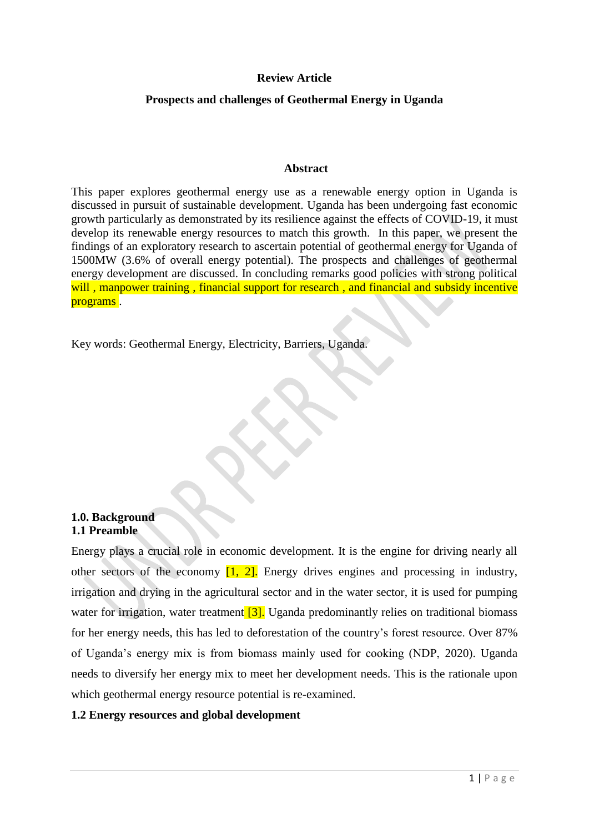## **Review Article**

## **Prospects and challenges of Geothermal Energy in Uganda**

#### **Abstract**

This paper explores geothermal energy use as a renewable energy option in Uganda is discussed in pursuit of sustainable development. Uganda has been undergoing fast economic growth particularly as demonstrated by its resilience against the effects of COVID-19, it must develop its renewable energy resources to match this growth. In this paper, we present the findings of an exploratory research to ascertain potential of geothermal energy for Uganda of 1500MW (3.6% of overall energy potential). The prospects and challenges of geothermal energy development are discussed. In concluding remarks good policies with strong political will, manpower training, financial support for research, and financial and subsidy incentive programs .

Key words: Geothermal Energy, Electricity, Barriers, Uganda.

## **1.0. Background 1.1 Preamble**

Energy plays a crucial role in economic development. It is the engine for driving nearly all other sectors of the economy  $\begin{bmatrix} 1 \\ 2 \end{bmatrix}$ . Energy drives engines and processing in industry, irrigation and drying in the agricultural sector and in the water sector, it is used for pumping water for irrigation, water treatment [3]. Uganda predominantly relies on traditional biomass for her energy needs, this has led to deforestation of the country's forest resource. Over 87% of Uganda's energy mix is from biomass mainly used for cooking (NDP, 2020). Uganda needs to diversify her energy mix to meet her development needs. This is the rationale upon which geothermal energy resource potential is re-examined.

## **1.2 Energy resources and global development**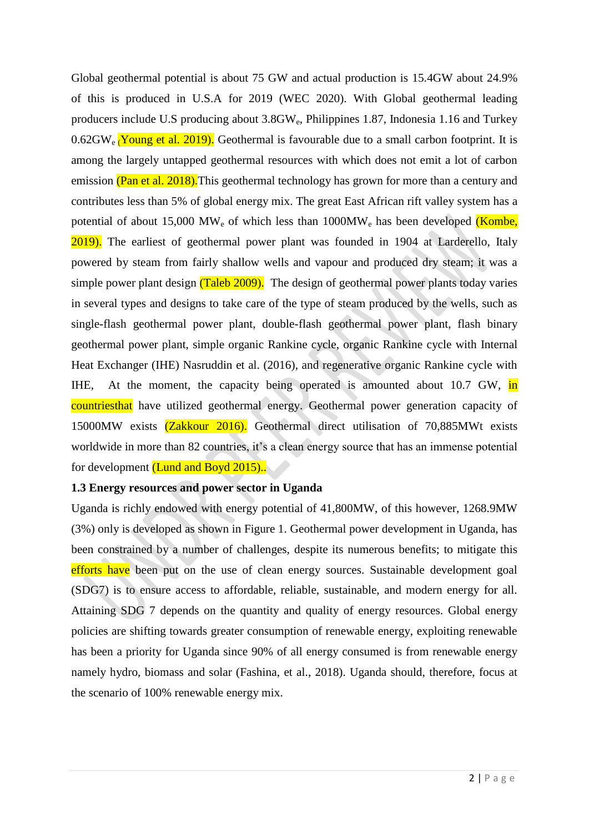Global geothermal potential is about 75 GW and actual production is 15.4GW about 24.9% of this is produced in U.S.A for 2019 (WEC 2020). With Global geothermal leading producers include U.S producing about 3.8GWe, Philippines 1.87, Indonesia 1.16 and Turkey  $0.62$ GW<sub>e</sub> Young et al. 2019). Geothermal is favourable due to a small carbon footprint. It is among the largely untapped geothermal resources with which does not emit a lot of carbon emission (Pan et al. 2018). This geothermal technology has grown for more than a century and contributes less than 5% of global energy mix. The great East African rift valley system has a potential of about 15,000 MW<sub>e</sub> of which less than  $1000MW<sub>e</sub>$  has been developed (Kombe, 2019). The earliest of geothermal power plant was founded in 1904 at Larderello, Italy powered by steam from fairly shallow wells and vapour and produced dry steam; it was a simple power plant design (Taleb 2009). The design of geothermal power plants today varies in several types and designs to take care of the type of steam produced by the wells, such as single-flash geothermal power plant, double-flash geothermal power plant, flash binary geothermal power plant, simple organic Rankine cycle, organic Rankine cycle with Internal Heat Exchanger (IHE) Nasruddin et al. (2016), and regenerative organic Rankine cycle with IHE, At the moment, the capacity being operated is amounted about 10.7 GW, in countriesthat have utilized geothermal energy. Geothermal power generation capacity of 15000MW exists (Zakkour 2016). Geothermal direct utilisation of 70,885MWt exists worldwide in more than 82 countries, it's a clean energy source that has an immense potential for development (Lund and Boyd 2015)...

## **1.3 Energy resources and power sector in Uganda**

Uganda is richly endowed with energy potential of 41,800MW, of this however, 1268.9MW (3%) only is developed as shown in Figure 1. Geothermal power development in Uganda, has been constrained by a number of challenges, despite its numerous benefits; to mitigate this efforts have been put on the use of clean energy sources. Sustainable development goal (SDG7) is to ensure access to affordable, reliable, sustainable, and modern energy for all. Attaining SDG 7 depends on the quantity and quality of energy resources. Global energy policies are shifting towards greater consumption of renewable energy, exploiting renewable has been a priority for Uganda since 90% of all energy consumed is from renewable energy namely hydro, biomass and solar (Fashina, et al., 2018). Uganda should, therefore, focus at the scenario of 100% renewable energy mix.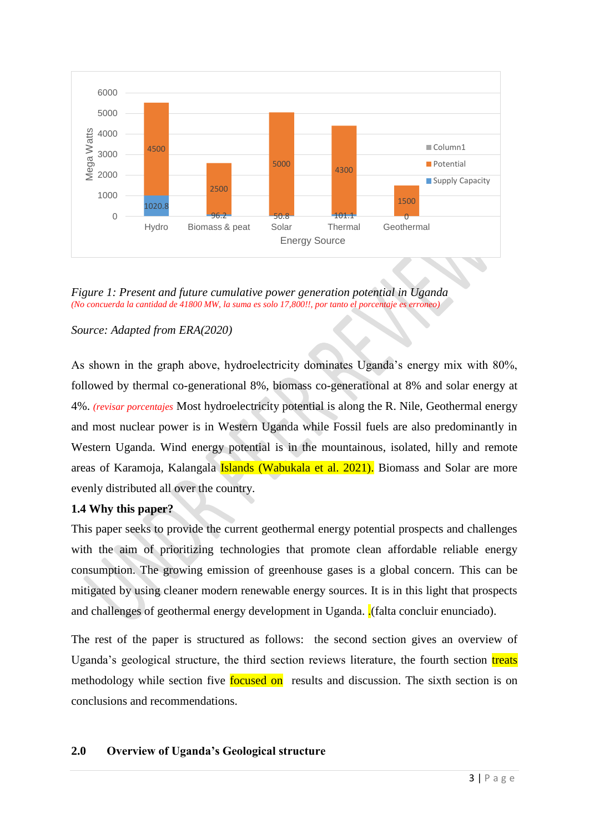

*Figure 1: Present and future cumulative power generation potential in Uganda (No concuerda la cantidad de 41800 MW, la suma es solo 17,800!!, por tanto el porcentaje es erroneo)*

# *Source: Adapted from ERA(2020)*

As shown in the graph above, hydroelectricity dominates Uganda's energy mix with 80%, followed by thermal co-generational 8%, biomass co-generational at 8% and solar energy at 4%. *(revisar porcentajes* Most hydroelectricity potential is along the R. Nile, Geothermal energy and most nuclear power is in Western Uganda while Fossil fuels are also predominantly in Western Uganda. Wind energy potential is in the mountainous, isolated, hilly and remote areas of Karamoja, Kalangala **Islands (Wabukala et al. 2021).** Biomass and Solar are more evenly distributed all over the country.

# **1.4 Why this paper?**

This paper seeks to provide the current geothermal energy potential prospects and challenges with the aim of prioritizing technologies that promote clean affordable reliable energy consumption. The growing emission of greenhouse gases is a global concern. This can be mitigated by using cleaner modern renewable energy sources. It is in this light that prospects and challenges of geothermal energy development in Uganda.  $\frac{1}{2}$  (falta concluir enunciado).

The rest of the paper is structured as follows: the second section gives an overview of Uganda's geological structure, the third section reviews literature, the fourth section treats methodology while section five **focused on** results and discussion. The sixth section is on conclusions and recommendations.

# **2.0 Overview of Uganda's Geological structure**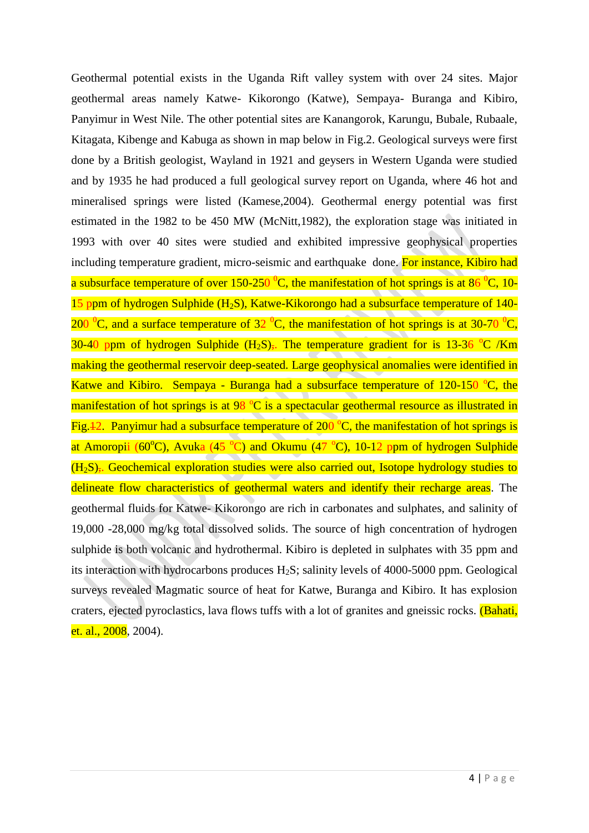Geothermal potential exists in the Uganda Rift valley system with over 24 sites. Major geothermal areas namely Katwe- Kikorongo (Katwe), Sempaya- Buranga and Kibiro, Panyimur in West Nile. The other potential sites are Kanangorok, Karungu, Bubale, Rubaale, Kitagata, Kibenge and Kabuga as shown in map below in Fig.2. Geological surveys were first done by a British geologist, Wayland in 1921 and geysers in Western Uganda were studied and by 1935 he had produced a full geological survey report on Uganda, where 46 hot and mineralised springs were listed (Kamese,2004). Geothermal energy potential was first estimated in the 1982 to be 450 MW (McNitt,1982), the exploration stage was initiated in 1993 with over 40 sites were studied and exhibited impressive geophysical properties including temperature gradient, micro-seismic and earthquake done. For instance, Kibiro had a subsurface temperature of over 150-250  $^{0}C$ , the manifestation of hot springs is at 86  $^{0}C$ , 10-15 ppm of hydrogen Sulphide  $(H_2S)$ , Katwe-Kikorongo had a subsurface temperature of 140-200  $\rm{^0C}$ , and a surface temperature of 32  $\rm{^0C}$ , the manifestation of hot springs is at 30-70  $\rm{^0C}$ , 30-40 ppm of hydrogen Sulphide  $(H_2S)$ . The temperature gradient for is 13-36 <sup>o</sup>C /Km making the geothermal reservoir deep-seated. Large geophysical anomalies were identified in Katwe and Kibiro. Sempaya - Buranga had a subsurface temperature of  $120-150$  °C, the manifestation of hot springs is at  $98\text{ °C}$  is a spectacular geothermal resource as illustrated in Fig. 42. Panyimur had a subsurface temperature of 200  $\degree$ C, the manifestation of hot springs is at Amoropii (60 $^{\circ}$ C), Avuka (45 $^{\circ}$ C) and Okumu (47 $^{\circ}$ C), 10-12 ppm of hydrogen Sulphide  $(H<sub>2</sub>S)$ ,. Geochemical exploration studies were also carried out, Isotope hydrology studies to delineate flow characteristics of geothermal waters and identify their recharge areas. The geothermal fluids for Katwe- Kikorongo are rich in carbonates and sulphates, and salinity of 19,000 -28,000 mg/kg total dissolved solids. The source of high concentration of hydrogen sulphide is both volcanic and hydrothermal. Kibiro is depleted in sulphates with 35 ppm and its interaction with hydrocarbons produces H2S; salinity levels of 4000-5000 ppm. Geological surveys revealed Magmatic source of heat for Katwe, Buranga and Kibiro. It has explosion craters, ejected pyroclastics, lava flows tuffs with a lot of granites and gneissic rocks. (Bahati, et. al., 2008, 2004).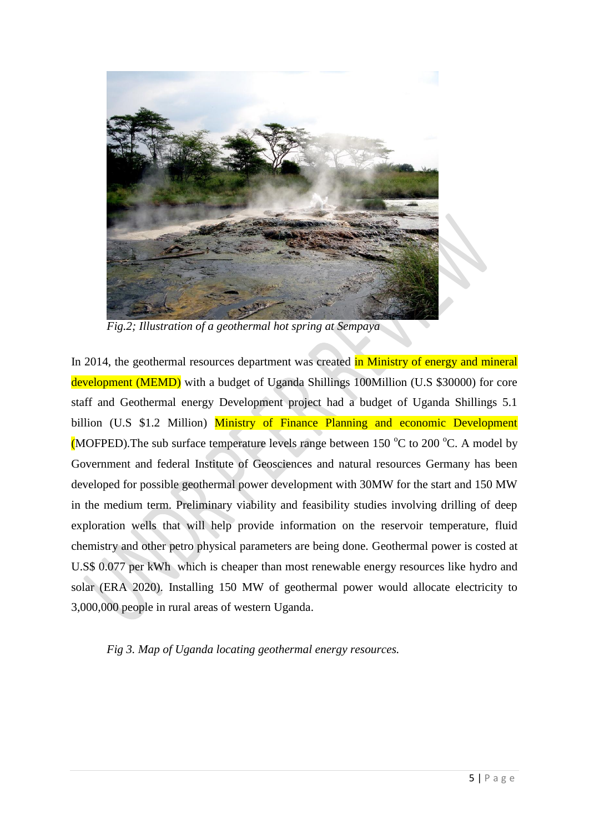

*Fig.2; Illustration of a geothermal hot spring at Sempaya*

In 2014, the geothermal resources department was created in Ministry of energy and mineral development (MEMD) with a budget of Uganda Shillings 100Million (U.S \$30000) for core staff and Geothermal energy Development project had a budget of Uganda Shillings 5.1 billion (U.S \$1.2 Million) Ministry of Finance Planning and economic Development (MOFPED). The sub surface temperature levels range between 150  $\rm{^{\circ}C}$  to 200  $\rm{^{\circ}C}$ . A model by Government and federal Institute of Geosciences and natural resources Germany has been developed for possible geothermal power development with 30MW for the start and 150 MW in the medium term. Preliminary viability and feasibility studies involving drilling of deep exploration wells that will help provide information on the reservoir temperature, fluid chemistry and other petro physical parameters are being done. Geothermal power is costed at U.S\$ 0.077 per kWh which is cheaper than most renewable energy resources like hydro and solar (ERA 2020). Installing 150 MW of geothermal power would allocate electricity to 3,000,000 people in rural areas of western Uganda.

*Fig 3. Map of Uganda locating geothermal energy resources.*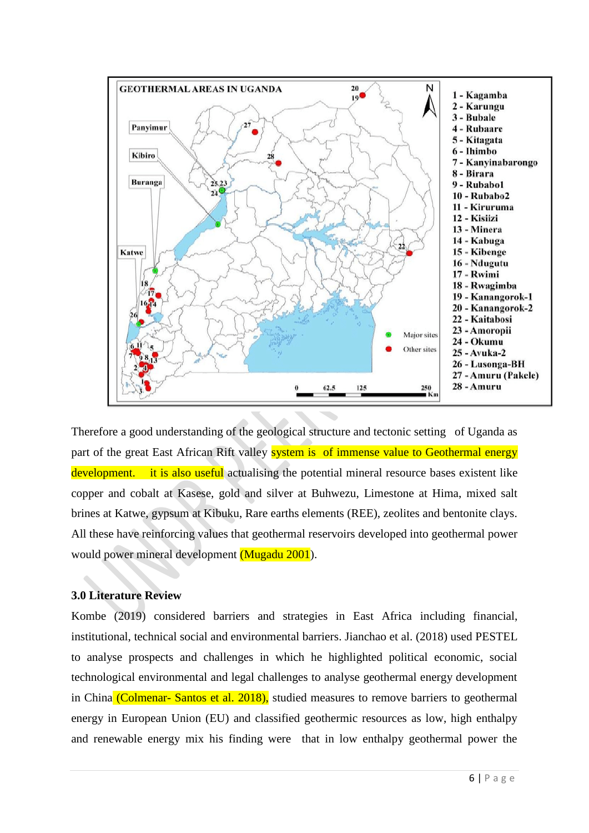

Therefore a good understanding of the geological structure and tectonic setting of Uganda as part of the great East African Rift valley **system is of immense value to Geothermal energy** development. it is also useful actualising the potential mineral resource bases existent like copper and cobalt at Kasese, gold and silver at Buhwezu, Limestone at Hima, mixed salt brines at Katwe, gypsum at Kibuku, Rare earths elements (REE), zeolites and bentonite clays. All these have reinforcing values that geothermal reservoirs developed into geothermal power would power mineral development (Mugadu 2001).

# **3.0 Literature Review**

Kombe (2019) considered barriers and strategies in East Africa including financial, institutional, technical social and environmental barriers. Jianchao et al. (2018) used PESTEL to analyse prospects and challenges in which he highlighted political economic, social technological environmental and legal challenges to analyse geothermal energy development in China (Colmenar- Santos et al. 2018), studied measures to remove barriers to geothermal energy in European Union (EU) and classified geothermic resources as low, high enthalpy and renewable energy mix his finding were that in low enthalpy geothermal power the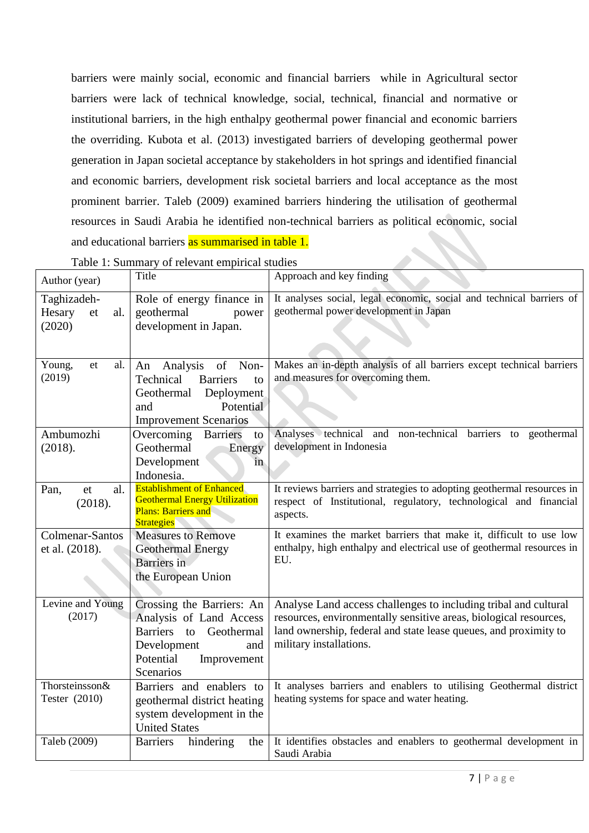barriers were mainly social, economic and financial barriers while in Agricultural sector barriers were lack of technical knowledge, social, technical, financial and normative or institutional barriers, in the high enthalpy geothermal power financial and economic barriers the overriding. Kubota et al. (2013) investigated barriers of developing geothermal power generation in Japan societal acceptance by stakeholders in hot springs and identified financial and economic barriers, development risk societal barriers and local acceptance as the most prominent barrier. Taleb (2009) examined barriers hindering the utilisation of geothermal resources in Saudi Arabia he identified non-technical barriers as political economic, social and educational barriers as summarised in table 1. 

| Table 1: Summary of relevant empirical studies |                                                                                                                                                 |                                                                                                                                                                                                                                     |
|------------------------------------------------|-------------------------------------------------------------------------------------------------------------------------------------------------|-------------------------------------------------------------------------------------------------------------------------------------------------------------------------------------------------------------------------------------|
| Author (year)                                  | Title                                                                                                                                           | Approach and key finding                                                                                                                                                                                                            |
| Taghizadeh-<br>Hesary<br>al.<br>et<br>(2020)   | Role of energy finance in<br>geothermal<br>power<br>development in Japan.                                                                       | It analyses social, legal economic, social and technical barriers of<br>geothermal power development in Japan                                                                                                                       |
| Young,<br>al.<br>et<br>(2019)                  | Analysis<br>of Non-<br>An<br>Technical<br><b>Barriers</b><br>to<br>Deployment<br>Geothermal<br>Potential<br>and<br><b>Improvement Scenarios</b> | Makes an in-depth analysis of all barriers except technical barriers<br>and measures for overcoming them.                                                                                                                           |
| Ambumozhi<br>(2018).                           | Overcoming Barriers<br>to<br>Geothermal<br>Energy<br>Development<br>in<br>Indonesia.                                                            | Analyses technical and non-technical barriers to geothermal<br>development in Indonesia                                                                                                                                             |
| al.<br>Pan,<br>et<br>(2018).                   | <b>Establishment of Enhanced</b><br><b>Geothermal Energy Utilization</b><br><b>Plans: Barriers and</b><br><b>Strategies</b>                     | It reviews barriers and strategies to adopting geothermal resources in<br>respect of Institutional, regulatory, technological and financial<br>aspects.                                                                             |
| Colmenar-Santos<br>et al. (2018).              | <b>Measures to Remove</b><br><b>Geothermal Energy</b><br>Barriers in<br>the European Union                                                      | It examines the market barriers that make it, difficult to use low<br>enthalpy, high enthalpy and electrical use of geothermal resources in<br>EU.                                                                                  |
| Levine and Young<br>(2017)                     | Crossing the Barriers: An<br>Analysis of Land Access<br>Barriers to Geothermal<br>Development<br>and<br>Potential<br>Improvement<br>Scenarios   | Analyse Land access challenges to including tribal and cultural<br>resources, environmentally sensitive areas, biological resources,<br>land ownership, federal and state lease queues, and proximity to<br>military installations. |
| Thorsteinsson&<br>Tester (2010)                | Barriers and enablers to<br>geothermal district heating<br>system development in the<br><b>United States</b>                                    | It analyses barriers and enablers to utilising Geothermal district<br>heating systems for space and water heating.                                                                                                                  |
| Taleb (2009)                                   | <b>Barriers</b><br>hindering<br>the                                                                                                             | It identifies obstacles and enablers to geothermal development in<br>Saudi Arabia                                                                                                                                                   |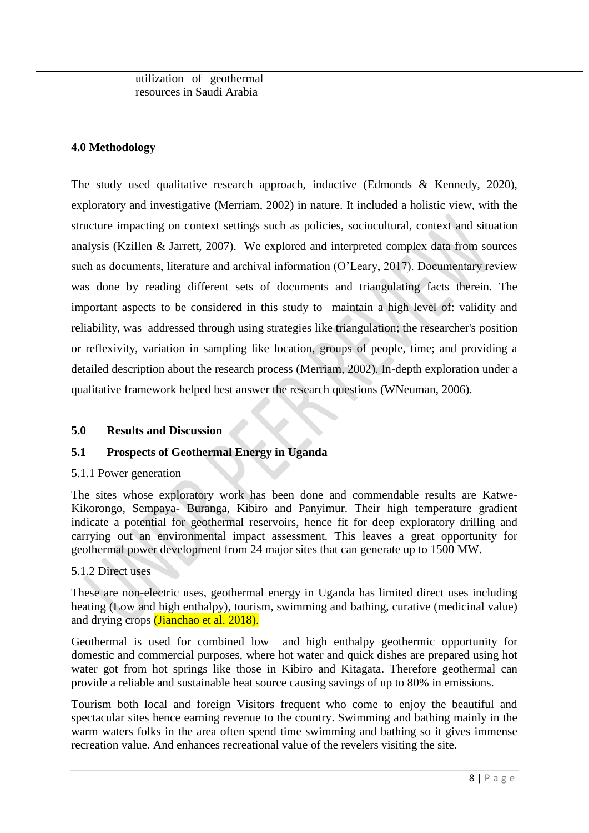| .<br>ΟÌ<br>geothermal<br>utilization |  |
|--------------------------------------|--|
| resources in Saudi Arabia            |  |

## **4.0 Methodology**

The study used qualitative research approach, inductive (Edmonds & Kennedy, 2020), exploratory and investigative (Merriam, 2002) in nature. It included a holistic view, with the structure impacting on context settings such as policies, sociocultural, context and situation analysis (Kzillen & Jarrett, 2007). We explored and interpreted complex data from sources such as documents, literature and archival information (O'Leary, 2017). Documentary review was done by reading different sets of documents and triangulating facts therein. The important aspects to be considered in this study to maintain a high level of: validity and reliability, was addressed through using strategies like triangulation; the researcher's position or reflexivity, variation in sampling like location, groups of people, time; and providing a detailed description about the research process (Merriam, 2002). In-depth exploration under a qualitative framework helped best answer the research questions (WNeuman, 2006).

## **5.0 Results and Discussion**

## **5.1 Prospects of Geothermal Energy in Uganda**

#### 5.1.1 Power generation

The sites whose exploratory work has been done and commendable results are Katwe-Kikorongo, Sempaya- Buranga, Kibiro and Panyimur. Their high temperature gradient indicate a potential for geothermal reservoirs, hence fit for deep exploratory drilling and carrying out an environmental impact assessment. This leaves a great opportunity for geothermal power development from 24 major sites that can generate up to 1500 MW.

#### 5.1.2 Direct uses

These are non-electric uses, geothermal energy in Uganda has limited direct uses including heating (Low and high enthalpy), tourism, swimming and bathing, curative (medicinal value) and drying crops (Jianchao et al. 2018).

Geothermal is used for combined low and high enthalpy geothermic opportunity for domestic and commercial purposes, where hot water and quick dishes are prepared using hot water got from hot springs like those in Kibiro and Kitagata. Therefore geothermal can provide a reliable and sustainable heat source causing savings of up to 80% in emissions.

Tourism both local and foreign Visitors frequent who come to enjoy the beautiful and spectacular sites hence earning revenue to the country. Swimming and bathing mainly in the warm waters folks in the area often spend time swimming and bathing so it gives immense recreation value. And enhances recreational value of the revelers visiting the site.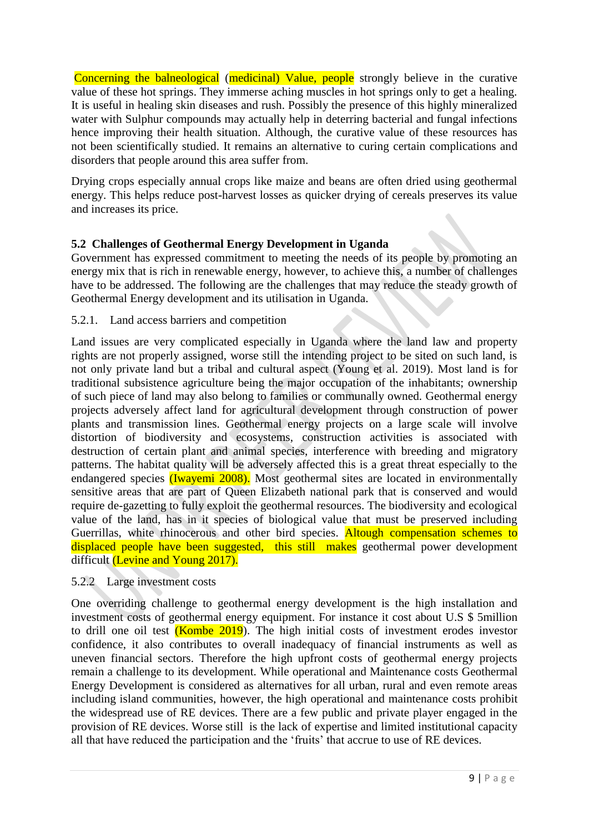Concerning the balneological (medicinal) Value, people strongly believe in the curative value of these hot springs. They immerse aching muscles in hot springs only to get a healing. It is useful in healing skin diseases and rush. Possibly the presence of this highly mineralized water with Sulphur compounds may actually help in deterring bacterial and fungal infections hence improving their health situation. Although, the curative value of these resources has not been scientifically studied. It remains an alternative to curing certain complications and disorders that people around this area suffer from.

Drying crops especially annual crops like maize and beans are often dried using geothermal energy. This helps reduce post-harvest losses as quicker drying of cereals preserves its value and increases its price.

# **5.2 Challenges of Geothermal Energy Development in Uganda**

Government has expressed commitment to meeting the needs of its people by promoting an energy mix that is rich in renewable energy, however, to achieve this, a number of challenges have to be addressed. The following are the challenges that may reduce the steady growth of Geothermal Energy development and its utilisation in Uganda.

# 5.2.1. Land access barriers and competition

Land issues are very complicated especially in Uganda where the land law and property rights are not properly assigned, worse still the intending project to be sited on such land, is not only private land but a tribal and cultural aspect (Young et al. 2019). Most land is for traditional subsistence agriculture being the major occupation of the inhabitants; ownership of such piece of land may also belong to families or communally owned. Geothermal energy projects adversely affect land for agricultural development through construction of power plants and transmission lines. Geothermal energy projects on a large scale will involve distortion of biodiversity and ecosystems, construction activities is associated with destruction of certain plant and animal species, interference with breeding and migratory patterns. The habitat quality will be adversely affected this is a great threat especially to the endangered species (Iwayemi 2008). Most geothermal sites are located in environmentally sensitive areas that are part of Queen Elizabeth national park that is conserved and would require de-gazetting to fully exploit the geothermal resources. The biodiversity and ecological value of the land, has in it species of biological value that must be preserved including Guerrillas, white rhinocerous and other bird species. Altough compensation schemes to displaced people have been suggested, this still makes geothermal power development difficult (Levine and Young 2017).

# 5.2.2 Large investment costs

One overriding challenge to geothermal energy development is the high installation and investment costs of geothermal energy equipment. For instance it cost about U.S \$ 5million to drill one oil test  $(Kombe 2019)$ . The high initial costs of investment erodes investor confidence, it also contributes to overall inadequacy of financial instruments as well as uneven financial sectors. Therefore the high upfront costs of geothermal energy projects remain a challenge to its development. While operational and Maintenance costs Geothermal Energy Development is considered as alternatives for all urban, rural and even remote areas including island communities, however, the high operational and maintenance costs prohibit the widespread use of RE devices. There are a few public and private player engaged in the provision of RE devices. Worse still is the lack of expertise and limited institutional capacity all that have reduced the participation and the 'fruits' that accrue to use of RE devices.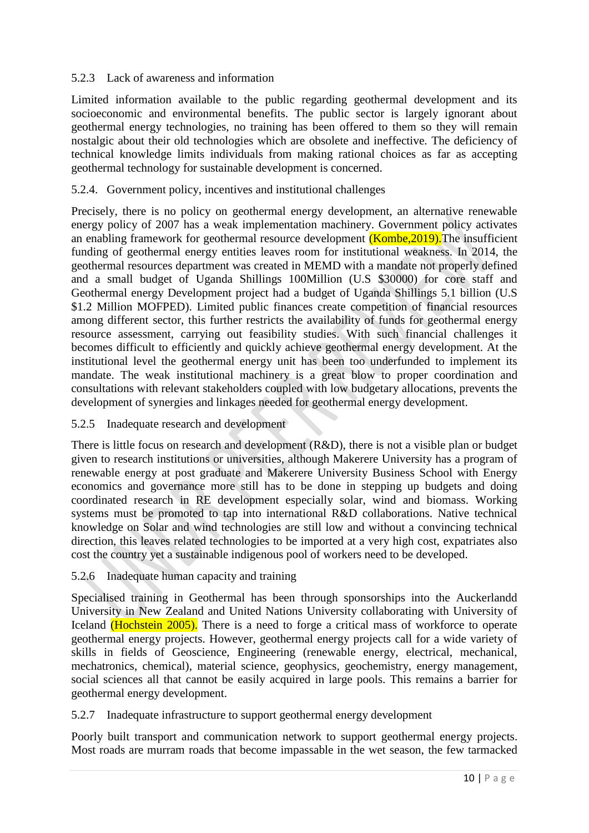# 5.2.3 Lack of awareness and information

Limited information available to the public regarding geothermal development and its socioeconomic and environmental benefits. The public sector is largely ignorant about geothermal energy technologies, no training has been offered to them so they will remain nostalgic about their old technologies which are obsolete and ineffective. The deficiency of technical knowledge limits individuals from making rational choices as far as accepting geothermal technology for sustainable development is concerned.

# 5.2.4. Government policy, incentives and institutional challenges

Precisely, there is no policy on geothermal energy development, an alternative renewable energy policy of 2007 has a weak implementation machinery. Government policy activates an enabling framework for geothermal resource development (Kombe, 2019). The insufficient funding of geothermal energy entities leaves room for institutional weakness. In 2014, the geothermal resources department was created in MEMD with a mandate not properly defined and a small budget of Uganda Shillings 100Million (U.S \$30000) for core staff and Geothermal energy Development project had a budget of Uganda Shillings 5.1 billion (U.S \$1.2 Million MOFPED). Limited public finances create competition of financial resources among different sector, this further restricts the availability of funds for geothermal energy resource assessment, carrying out feasibility studies. With such financial challenges it becomes difficult to efficiently and quickly achieve geothermal energy development. At the institutional level the geothermal energy unit has been too underfunded to implement its mandate. The weak institutional machinery is a great blow to proper coordination and consultations with relevant stakeholders coupled with low budgetary allocations, prevents the development of synergies and linkages needed for geothermal energy development.

# 5.2.5 Inadequate research and development

There is little focus on research and development (R&D), there is not a visible plan or budget given to research institutions or universities, although Makerere University has a program of renewable energy at post graduate and Makerere University Business School with Energy economics and governance more still has to be done in stepping up budgets and doing coordinated research in RE development especially solar, wind and biomass. Working systems must be promoted to tap into international R&D collaborations. Native technical knowledge on Solar and wind technologies are still low and without a convincing technical direction, this leaves related technologies to be imported at a very high cost, expatriates also cost the country yet a sustainable indigenous pool of workers need to be developed.

# 5.2.6 Inadequate human capacity and training

Specialised training in Geothermal has been through sponsorships into the Auckerlandd University in New Zealand and United Nations University collaborating with University of Iceland (Hochstein 2005). There is a need to forge a critical mass of workforce to operate geothermal energy projects. However, geothermal energy projects call for a wide variety of skills in fields of Geoscience, Engineering (renewable energy, electrical, mechanical, mechatronics, chemical), material science, geophysics, geochemistry, energy management, social sciences all that cannot be easily acquired in large pools. This remains a barrier for geothermal energy development.

# 5.2.7 Inadequate infrastructure to support geothermal energy development

Poorly built transport and communication network to support geothermal energy projects. Most roads are murram roads that become impassable in the wet season, the few tarmacked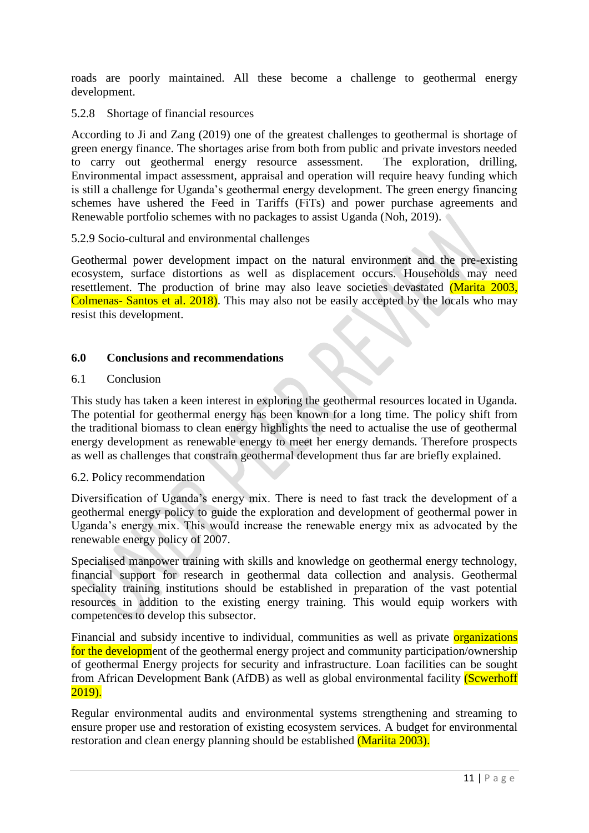roads are poorly maintained. All these become a challenge to geothermal energy development.

## 5.2.8 Shortage of financial resources

According to Ji and Zang (2019) one of the greatest challenges to geothermal is shortage of green energy finance. The shortages arise from both from public and private investors needed to carry out geothermal energy resource assessment. The exploration, drilling, Environmental impact assessment, appraisal and operation will require heavy funding which is still a challenge for Uganda's geothermal energy development. The green energy financing schemes have ushered the Feed in Tariffs (FiTs) and power purchase agreements and Renewable portfolio schemes with no packages to assist Uganda (Noh, 2019).

## 5.2.9 Socio-cultural and environmental challenges

Geothermal power development impact on the natural environment and the pre-existing ecosystem, surface distortions as well as displacement occurs. Households may need resettlement. The production of brine may also leave societies devastated (Marita 2003, Colmenas- Santos et al. 2018). This may also not be easily accepted by the locals who may resist this development.

## **6.0 Conclusions and recommendations**

## 6.1 Conclusion

This study has taken a keen interest in exploring the geothermal resources located in Uganda. The potential for geothermal energy has been known for a long time. The policy shift from the traditional biomass to clean energy highlights the need to actualise the use of geothermal energy development as renewable energy to meet her energy demands. Therefore prospects as well as challenges that constrain geothermal development thus far are briefly explained.

## 6.2. Policy recommendation

Diversification of Uganda's energy mix. There is need to fast track the development of a geothermal energy policy to guide the exploration and development of geothermal power in Uganda's energy mix. This would increase the renewable energy mix as advocated by the renewable energy policy of 2007.

Specialised manpower training with skills and knowledge on geothermal energy technology, financial support for research in geothermal data collection and analysis. Geothermal speciality training institutions should be established in preparation of the vast potential resources in addition to the existing energy training. This would equip workers with competences to develop this subsector.

Financial and subsidy incentive to individual, communities as well as private **organizations** for the development of the geothermal energy project and community participation/ownership of geothermal Energy projects for security and infrastructure. Loan facilities can be sought from African Development Bank (AfDB) as well as global environmental facility (Scwerhoff 2019).

Regular environmental audits and environmental systems strengthening and streaming to ensure proper use and restoration of existing ecosystem services. A budget for environmental restoration and clean energy planning should be established (Mariita 2003).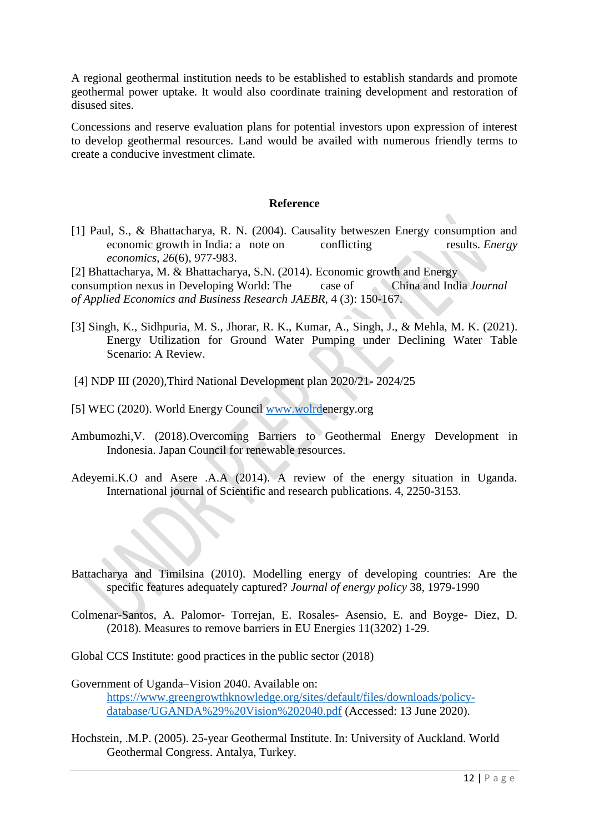A regional geothermal institution needs to be established to establish standards and promote geothermal power uptake. It would also coordinate training development and restoration of disused sites.

Concessions and reserve evaluation plans for potential investors upon expression of interest to develop geothermal resources. Land would be availed with numerous friendly terms to create a conducive investment climate.

## **Reference**

[1] Paul, S., & Bhattacharya, R. N. (2004). Causality betweszen Energy consumption and economic growth in India: a note on conflicting results. *Energy economics*, *26*(6), 977-983.

[2] Bhattacharya, M. & Bhattacharya, S.N. (2014). Economic growth and Energy consumption nexus in Developing World: The case of China and India *Journal of Applied Economics and Business Research JAEBR*, 4 (3): 150-167.

- [3] Singh, K., Sidhpuria, M. S., Jhorar, R. K., Kumar, A., Singh, J., & Mehla, M. K. (2021). Energy Utilization for Ground Water Pumping under Declining Water Table Scenario: A Review.
- [4] NDP III (2020),Third National Development plan 2020/21- 2024/25
- [5] WEC (2020). World Energy Council [www.wolrde](http://www.wolrd/)nergy.org
- Ambumozhi,V. (2018).Overcoming Barriers to Geothermal Energy Development in Indonesia. Japan Council for renewable resources.
- Adeyemi.K.O and Asere .A.A (2014). A review of the energy situation in Uganda. International journal of Scientific and research publications. 4, 2250-3153.
- Battacharya and Timilsina (2010). Modelling energy of developing countries: Are the specific features adequately captured? *Journal of energy policy* 38, 1979-1990
- Colmenar-Santos, A. Palomor- Torrejan, E. Rosales- Asensio, E. and Boyge- Diez, D. (2018). Measures to remove barriers in EU Energies 11(3202) 1-29.
- Global CCS Institute: good practices in the public sector (2018)
- Government of Uganda–Vision 2040. Available on: [https://www.greengrowthknowledge.org/sites/default/files/downloads/policy](https://www.greengrowthknowledge.org/sites/default/files/downloads/policy-database/UGANDA%29%20Vision%202040.pdf)[database/UGANDA%29%20Vision%202040.pdf](https://www.greengrowthknowledge.org/sites/default/files/downloads/policy-database/UGANDA%29%20Vision%202040.pdf) (Accessed: 13 June 2020).
- Hochstein, .M.P. (2005). 25-year Geothermal Institute. In: University of Auckland. World Geothermal Congress. Antalya, Turkey.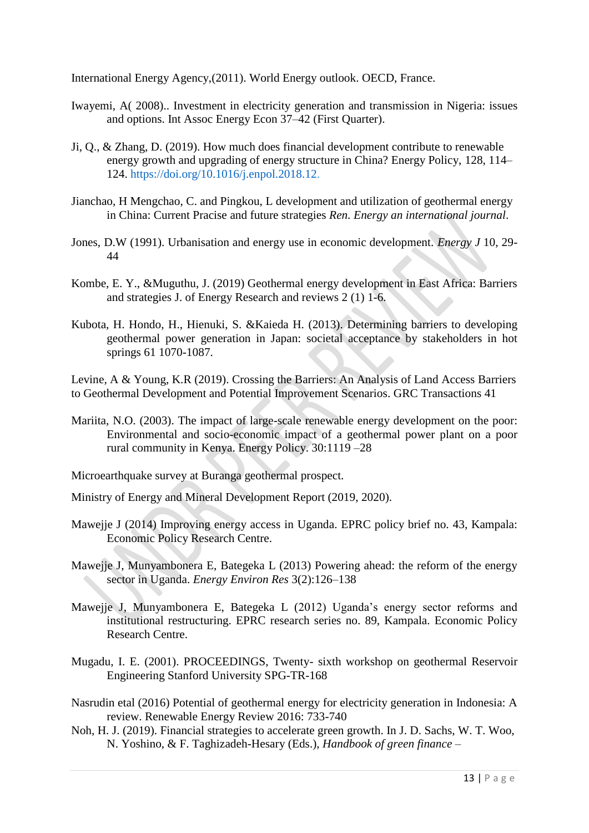International Energy Agency,(2011). World Energy outlook. OECD, France.

- Iwayemi, A( 2008).. Investment in electricity generation and transmission in Nigeria: issues and options. Int Assoc Energy Econ 37–42 (First Quarter).
- Ji, Q., & Zhang, D. (2019). How much does financial development contribute to renewable energy growth and upgrading of energy structure in China? Energy Policy, 128, 114– 124. [https://doi.org/10.1016/j.enpol.2018.12.](https://doi.org/10.1016/j.enpol.2018.12)
- Jianchao, H Mengchao, C. and Pingkou, L development and utilization of geothermal energy in China: Current Pracise and future strategies *Ren. Energy an international journal*.
- Jones, D.W (1991). Urbanisation and energy use in economic development. *Energy J* 10, 29- 44
- Kombe, E. Y., &Muguthu, J. (2019) Geothermal energy development in East Africa: Barriers and strategies J. of Energy Research and reviews 2 (1) 1-6.
- Kubota, H. Hondo, H., Hienuki, S. &Kaieda H. (2013). Determining barriers to developing geothermal power generation in Japan: societal acceptance by stakeholders in hot springs 61 1070-1087.

Levine, A & Young, K.R (2019). Crossing the Barriers: An Analysis of Land Access Barriers to Geothermal Development and Potential Improvement Scenarios. GRC Transactions 41

Mariita, N.O. (2003). The impact of large-scale renewable energy development on the poor: Environmental and socio-economic impact of a geothermal power plant on a poor rural community in Kenya. Energy Policy. 30:1119 –28

Microearthquake survey at Buranga geothermal prospect.

Ministry of Energy and Mineral Development Report (2019, 2020).

Mawejje J (2014) Improving energy access in Uganda. EPRC policy brief no. 43, Kampala: Economic Policy Research Centre.

Mawejje J, Munyambonera E, Bategeka L (2013) Powering ahead: the reform of the energy sector in Uganda. *Energy Environ Res* 3(2):126–138

- Mawejje J, Munyambonera E, Bategeka L (2012) Uganda's energy sector reforms and institutional restructuring. EPRC research series no. 89, Kampala. Economic Policy Research Centre.
- Mugadu, I. E. (2001). PROCEEDINGS, Twenty- sixth workshop on geothermal Reservoir Engineering Stanford University SPG-TR-168
- Nasrudin etal (2016) Potential of geothermal energy for electricity generation in Indonesia: A review. Renewable Energy Review 2016: 733-740
- Noh, H. J. (2019). Financial strategies to accelerate green growth. In J. D. Sachs, W. T. Woo, N. Yoshino, & F. Taghizadeh-Hesary (Eds.), *Handbook of green finance –*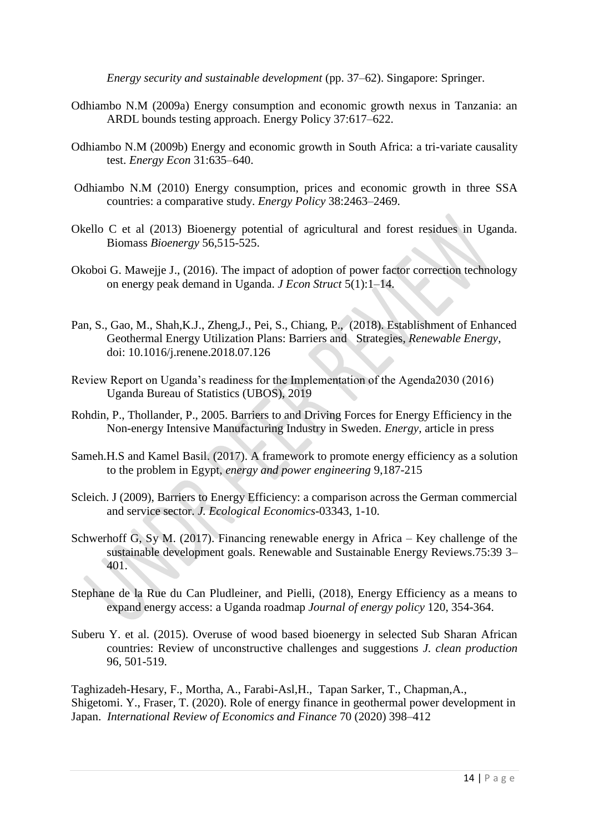*Energy security and sustainable development* (pp. 37–62). Singapore: Springer.

- Odhiambo N.M (2009a) Energy consumption and economic growth nexus in Tanzania: an ARDL bounds testing approach. Energy Policy 37:617–622.
- Odhiambo N.M (2009b) Energy and economic growth in South Africa: a tri-variate causality test. *Energy Econ* 31:635–640.
- Odhiambo N.M (2010) Energy consumption, prices and economic growth in three SSA countries: a comparative study. *Energy Policy* 38:2463–2469.
- Okello C et al (2013) Bioenergy potential of agricultural and forest residues in Uganda. Biomass *Bioenergy* 56,515-525.
- Okoboi G. Mawejje J., (2016). The impact of adoption of power factor correction technology on energy peak demand in Uganda. *J Econ Struct* 5(1):1–14.
- Pan, S., Gao, M., Shah,K.J., Zheng,J., Pei, S., Chiang, P., (2018). Establishment of Enhanced Geothermal Energy Utilization Plans: Barriers and Strategies, *Renewable Energy*, doi: 10.1016/j.renene.2018.07.126
- Review Report on Uganda's readiness for the Implementation of the Agenda2030 (2016) Uganda Bureau of Statistics (UBOS), 2019
- Rohdin, P., Thollander, P., 2005. Barriers to and Driving Forces for Energy Efficiency in the Non-energy Intensive Manufacturing Industry in Sweden. *Energy,* article in press
- Sameh.H.S and Kamel Basil. (2017). A framework to promote energy efficiency as a solution to the problem in Egypt, *energy and power engineering* 9,187-215
- Scleich. J (2009), Barriers to Energy Efficiency: a comparison across the German commercial and service sector. *J. Ecological Economics*-03343, 1-10.
- Schwerhoff G, Sy M. (2017). Financing renewable energy in Africa Key challenge of the sustainable development goals. Renewable and Sustainable Energy Reviews.75:39 3– 401.
- Stephane de la Rue du Can Pludleiner, and Pielli, (2018), Energy Efficiency as a means to expand energy access: a Uganda roadmap *Journal of energy policy* 120, 354-364.
- Suberu Y. et al. (2015). Overuse of wood based bioenergy in selected Sub Sharan African countries: Review of unconstructive challenges and suggestions *J. clean production* 96, 501-519.

Taghizadeh-Hesary, F., Mortha, A., Farabi-Asl,H., Tapan Sarker, T., Chapman,A., Shigetomi. Y., Fraser, T. (2020). Role of energy finance in geothermal power development in Japan. *International Review of Economics and Finance* 70 (2020) 398–412